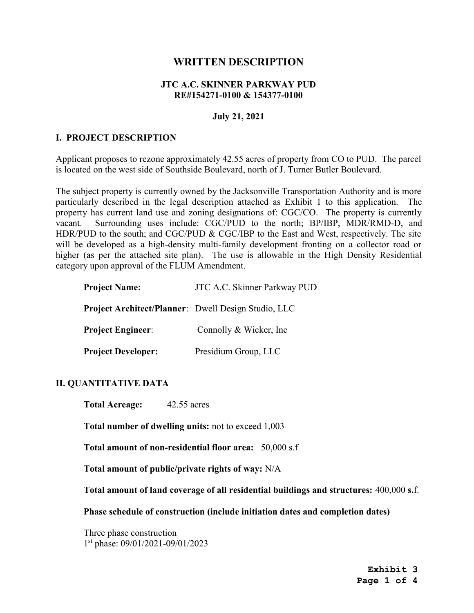# WRITTEN DESCRIPTION

#### JTC A.C. SKINNER PARKWAY PUD RE#154271-0100 & 154377-0100

#### July 21, 2021

#### I. PROJECT DESCRIPTION

Applicant proposes to rezone approximately 42.55 acres of property from CO to PUD. The parcel is located on the west side of Southside Boulevard, north of J. Turner Butler Boulevard.

The subject property is currently owned by the Jacksonville Transportation Authority and is more particularly described in the legal description attached as Exhibit 1 to this application. The property has current land use and zoning designations of: CGC/CO. The property is currently vacant. Surrounding uses include: CGC/PUD to the north; BP/IBP, MDR/RMD-D, and HDR/PUD to the south; and CGC/PUD & CGC/IBP to the East and West, respectively. The site will be developed as a high-density multi-family development fronting on a collector road or higher (as per the attached site plan). The use is allowable in the High Density Residential category upon approval of the FLUM Amendment.

| <b>Project Name:</b>                                | JTC A.C. Skinner Parkway PUD |
|-----------------------------------------------------|------------------------------|
| Project Architect/Planner: Dwell Design Studio, LLC |                              |
| <b>Project Engineer:</b>                            | Connolly & Wicker, Inc.      |
| <b>Project Developer:</b>                           | Presidium Group, LLC         |

#### II. QUANTITATIVE DATA

Total Acreage: 42.55 acres

Total number of dwelling units: not to exceed 1,003

Total amount of non-residential floor area: 50,000 s.f

Total amount of public/private rights of way: N/A

Total amount of land coverage of all residential buildings and structures: 400,000 s.f.

Phase schedule of construction (include initiation dates and completion dates)

Three phase construction 1 st phase: 09/01/2021-09/01/2023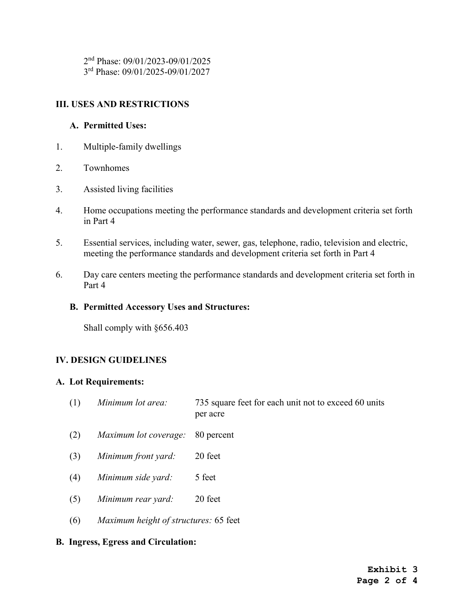2 nd Phase: 09/01/2023-09/01/2025 3 rd Phase: 09/01/2025-09/01/2027

## III. USES AND RESTRICTIONS

## A. Permitted Uses:

- 1. Multiple-family dwellings
- 2. Townhomes
- 3. Assisted living facilities
- 4. Home occupations meeting the performance standards and development criteria set forth in Part 4
- 5. Essential services, including water, sewer, gas, telephone, radio, television and electric, meeting the performance standards and development criteria set forth in Part 4
- 6. Day care centers meeting the performance standards and development criteria set forth in Part 4

#### B. Permitted Accessory Uses and Structures:

Shall comply with §656.403

## IV. DESIGN GUIDELINES

#### A. Lot Requirements:

- (1) Minimum lot area: 735 square feet for each unit not to exceed 60 units per acre
- (2) Maximum lot coverage: 80 percent
- (3) Minimum front yard: 20 feet
- (4) Minimum side yard: 5 feet
- (5) Minimum rear yard: 20 feet
- (6) Maximum height of structures: 65 feet

#### B. Ingress, Egress and Circulation: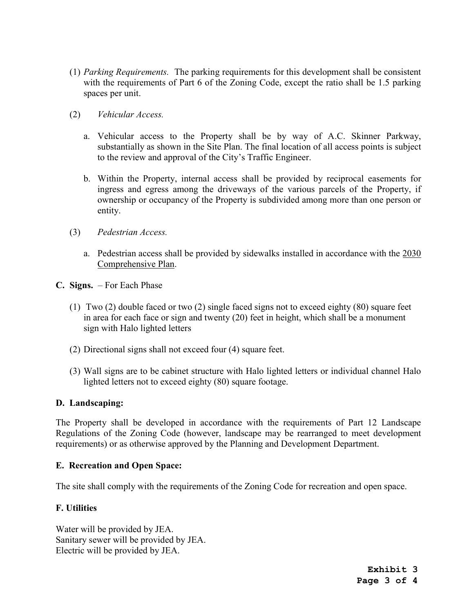- (1) Parking Requirements. The parking requirements for this development shall be consistent with the requirements of Part 6 of the Zoning Code, except the ratio shall be 1.5 parking spaces per unit.
- (2) Vehicular Access.
	- a. Vehicular access to the Property shall be by way of A.C. Skinner Parkway, substantially as shown in the Site Plan. The final location of all access points is subject to the review and approval of the City's Traffic Engineer.
	- b. Within the Property, internal access shall be provided by reciprocal easements for ingress and egress among the driveways of the various parcels of the Property, if ownership or occupancy of the Property is subdivided among more than one person or entity.
- (3) Pedestrian Access.
	- a. Pedestrian access shall be provided by sidewalks installed in accordance with the 2030 Comprehensive Plan.
- C. Signs. For Each Phase
	- (1) Two (2) double faced or two (2) single faced signs not to exceed eighty (80) square feet in area for each face or sign and twenty (20) feet in height, which shall be a monument sign with Halo lighted letters
	- (2) Directional signs shall not exceed four (4) square feet.
	- (3) Wall signs are to be cabinet structure with Halo lighted letters or individual channel Halo lighted letters not to exceed eighty (80) square footage.

#### D. Landscaping:

The Property shall be developed in accordance with the requirements of Part 12 Landscape Regulations of the Zoning Code (however, landscape may be rearranged to meet development requirements) or as otherwise approved by the Planning and Development Department.

#### E. Recreation and Open Space:

The site shall comply with the requirements of the Zoning Code for recreation and open space.

#### F. Utilities

Water will be provided by JEA. Sanitary sewer will be provided by JEA. Electric will be provided by JEA.